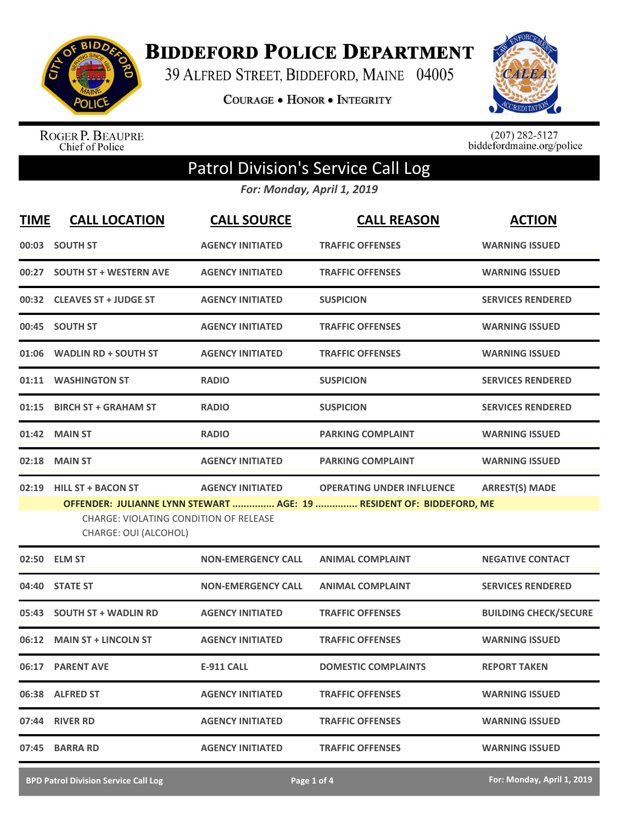

**BIDDEFORD POLICE DEPARTMENT** 

39 ALFRED STREET, BIDDEFORD, MAINE 04005

COURAGE . HONOR . INTEGRITY



ROGER P. BEAUPRE<br>Chief of Police

 $(207)$  282-5127<br>biddefordmaine.org/police

## Patrol Division's Service Call Log

*For: Monday, April 1, 2019*

| <b>TIME</b> | <b>CALL LOCATION</b>                                                                                | <b>CALL SOURCE</b>        | <b>CALL REASON</b>                                                                                       | <b>ACTION</b>                |
|-------------|-----------------------------------------------------------------------------------------------------|---------------------------|----------------------------------------------------------------------------------------------------------|------------------------------|
|             | 00:03 SOUTH ST                                                                                      | <b>AGENCY INITIATED</b>   | <b>TRAFFIC OFFENSES</b>                                                                                  | <b>WARNING ISSUED</b>        |
| 00:27       | <b>SOUTH ST + WESTERN AVE</b>                                                                       | <b>AGENCY INITIATED</b>   | <b>TRAFFIC OFFENSES</b>                                                                                  | <b>WARNING ISSUED</b>        |
|             | 00:32 CLEAVES ST + JUDGE ST                                                                         | <b>AGENCY INITIATED</b>   | <b>SUSPICION</b>                                                                                         | <b>SERVICES RENDERED</b>     |
|             | 00:45 SOUTH ST                                                                                      | <b>AGENCY INITIATED</b>   | <b>TRAFFIC OFFENSES</b>                                                                                  | <b>WARNING ISSUED</b>        |
|             | 01:06 WADLIN RD + SOUTH ST                                                                          | <b>AGENCY INITIATED</b>   | <b>TRAFFIC OFFENSES</b>                                                                                  | <b>WARNING ISSUED</b>        |
|             | 01:11 WASHINGTON ST                                                                                 | <b>RADIO</b>              | <b>SUSPICION</b>                                                                                         | <b>SERVICES RENDERED</b>     |
| 01:15       | <b>BIRCH ST + GRAHAM ST</b>                                                                         | <b>RADIO</b>              | <b>SUSPICION</b>                                                                                         | <b>SERVICES RENDERED</b>     |
| 01:42       | <b>MAIN ST</b>                                                                                      | <b>RADIO</b>              | <b>PARKING COMPLAINT</b>                                                                                 | <b>WARNING ISSUED</b>        |
| 02:18       | <b>MAIN ST</b>                                                                                      | <b>AGENCY INITIATED</b>   | <b>PARKING COMPLAINT</b>                                                                                 | <b>WARNING ISSUED</b>        |
| 02:19       | <b>HILL ST + BACON ST</b><br><b>CHARGE: VIOLATING CONDITION OF RELEASE</b><br>CHARGE: OUI (ALCOHOL) | <b>AGENCY INITIATED</b>   | <b>OPERATING UNDER INFLUENCE</b><br>OFFENDER: JULIANNE LYNN STEWART  AGE: 19  RESIDENT OF: BIDDEFORD, ME | <b>ARREST(S) MADE</b>        |
|             | 02:50 ELM ST                                                                                        | <b>NON-EMERGENCY CALL</b> | <b>ANIMAL COMPLAINT</b>                                                                                  | <b>NEGATIVE CONTACT</b>      |
| 04:40       | <b>STATE ST</b>                                                                                     | <b>NON-EMERGENCY CALL</b> | <b>ANIMAL COMPLAINT</b>                                                                                  | <b>SERVICES RENDERED</b>     |
| 05:43       | <b>SOUTH ST + WADLIN RD</b>                                                                         | <b>AGENCY INITIATED</b>   | <b>TRAFFIC OFFENSES</b>                                                                                  | <b>BUILDING CHECK/SECURE</b> |
|             | 06:12 MAIN ST + LINCOLN ST                                                                          | <b>AGENCY INITIATED</b>   | <b>TRAFFIC OFFENSES</b>                                                                                  | <b>WARNING ISSUED</b>        |
|             | 06:17 PARENT AVE                                                                                    | <b>E-911 CALL</b>         | <b>DOMESTIC COMPLAINTS</b>                                                                               | <b>REPORT TAKEN</b>          |
|             | 06:38 ALFRED ST                                                                                     | <b>AGENCY INITIATED</b>   | <b>TRAFFIC OFFENSES</b>                                                                                  | <b>WARNING ISSUED</b>        |
|             | 07:44 RIVER RD                                                                                      | <b>AGENCY INITIATED</b>   | <b>TRAFFIC OFFENSES</b>                                                                                  | <b>WARNING ISSUED</b>        |
| 07:45       | <b>BARRA RD</b>                                                                                     | <b>AGENCY INITIATED</b>   | <b>TRAFFIC OFFENSES</b>                                                                                  | <b>WARNING ISSUED</b>        |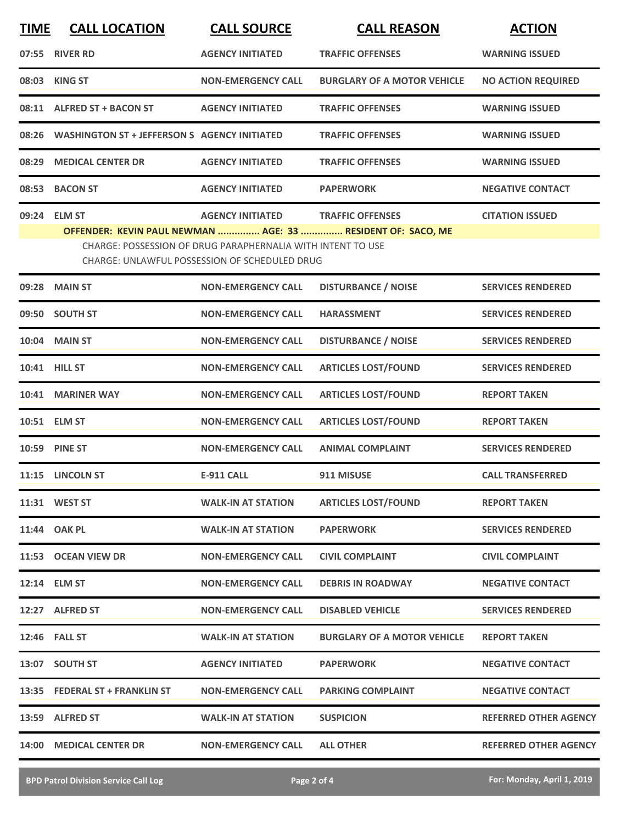| <b>TIME</b> | <b>CALL LOCATION</b>                               | <b>CALL SOURCE</b>                                                                                                  | <b>CALL REASON</b>                                          | <b>ACTION</b>                |
|-------------|----------------------------------------------------|---------------------------------------------------------------------------------------------------------------------|-------------------------------------------------------------|------------------------------|
|             | 07:55 RIVER RD                                     | <b>AGENCY INITIATED</b>                                                                                             | <b>TRAFFIC OFFENSES</b>                                     | <b>WARNING ISSUED</b>        |
|             | 08:03 KING ST                                      | <b>NON-EMERGENCY CALL</b>                                                                                           | <b>BURGLARY OF A MOTOR VEHICLE</b>                          | <b>NO ACTION REQUIRED</b>    |
|             | 08:11 ALFRED ST + BACON ST                         | <b>AGENCY INITIATED</b>                                                                                             | <b>TRAFFIC OFFENSES</b>                                     | <b>WARNING ISSUED</b>        |
|             | 08:26 WASHINGTON ST + JEFFERSON S AGENCY INITIATED |                                                                                                                     | <b>TRAFFIC OFFENSES</b>                                     | <b>WARNING ISSUED</b>        |
|             | 08:29 MEDICAL CENTER DR                            | <b>AGENCY INITIATED</b>                                                                                             | <b>TRAFFIC OFFENSES</b>                                     | <b>WARNING ISSUED</b>        |
| 08:53       | <b>BACON ST</b>                                    | <b>AGENCY INITIATED</b>                                                                                             | <b>PAPERWORK</b>                                            | <b>NEGATIVE CONTACT</b>      |
|             | 09:24 ELM ST                                       | <b>AGENCY INITIATED</b>                                                                                             | <b>TRAFFIC OFFENSES</b>                                     | <b>CITATION ISSUED</b>       |
|             |                                                    | CHARGE: POSSESSION OF DRUG PARAPHERNALIA WITH INTENT TO USE<br><b>CHARGE: UNLAWFUL POSSESSION OF SCHEDULED DRUG</b> | OFFENDER: KEVIN PAUL NEWMAN  AGE: 33  RESIDENT OF: SACO, ME |                              |
|             | 09:28 MAIN ST                                      | <b>NON-EMERGENCY CALL</b>                                                                                           | <b>DISTURBANCE / NOISE</b>                                  | <b>SERVICES RENDERED</b>     |
|             | 09:50 SOUTH ST                                     | <b>NON-EMERGENCY CALL</b>                                                                                           | <b>HARASSMENT</b>                                           | <b>SERVICES RENDERED</b>     |
|             | 10:04 MAIN ST                                      | <b>NON-EMERGENCY CALL</b>                                                                                           | <b>DISTURBANCE / NOISE</b>                                  | <b>SERVICES RENDERED</b>     |
|             | 10:41 HILL ST                                      | <b>NON-EMERGENCY CALL</b>                                                                                           | <b>ARTICLES LOST/FOUND</b>                                  | <b>SERVICES RENDERED</b>     |
| 10:41       | <b>MARINER WAY</b>                                 | <b>NON-EMERGENCY CALL</b>                                                                                           | <b>ARTICLES LOST/FOUND</b>                                  | <b>REPORT TAKEN</b>          |
|             | 10:51 ELM ST                                       | <b>NON-EMERGENCY CALL</b>                                                                                           | <b>ARTICLES LOST/FOUND</b>                                  | <b>REPORT TAKEN</b>          |
|             | 10:59 PINE ST                                      | <b>NON-EMERGENCY CALL</b>                                                                                           | <b>ANIMAL COMPLAINT</b>                                     | <b>SERVICES RENDERED</b>     |
|             | 11:15 LINCOLN ST                                   | <b>E-911 CALL</b>                                                                                                   | 911 MISUSE                                                  | <b>CALL TRANSFERRED</b>      |
|             | 11:31 WEST ST                                      | <b>WALK-IN AT STATION</b>                                                                                           | <b>ARTICLES LOST/FOUND</b>                                  | <b>REPORT TAKEN</b>          |
|             | 11:44 OAK PL                                       | <b>WALK-IN AT STATION</b>                                                                                           | <b>PAPERWORK</b>                                            | <b>SERVICES RENDERED</b>     |
|             | 11:53 OCEAN VIEW DR                                | <b>NON-EMERGENCY CALL</b>                                                                                           | <b>CIVIL COMPLAINT</b>                                      | <b>CIVIL COMPLAINT</b>       |
|             | 12:14 ELM ST                                       | <b>NON-EMERGENCY CALL</b>                                                                                           | <b>DEBRIS IN ROADWAY</b>                                    | <b>NEGATIVE CONTACT</b>      |
|             | 12:27 ALFRED ST                                    | <b>NON-EMERGENCY CALL</b>                                                                                           | <b>DISABLED VEHICLE</b>                                     | <b>SERVICES RENDERED</b>     |
|             | <b>12:46 FALL ST</b>                               | <b>WALK-IN AT STATION</b>                                                                                           | <b>BURGLARY OF A MOTOR VEHICLE</b>                          | <b>REPORT TAKEN</b>          |
|             | 13:07 SOUTH ST                                     | <b>AGENCY INITIATED</b>                                                                                             | <b>PAPERWORK</b>                                            | <b>NEGATIVE CONTACT</b>      |
|             | 13:35 FEDERAL ST + FRANKLIN ST                     | <b>NON-EMERGENCY CALL</b>                                                                                           | <b>PARKING COMPLAINT</b>                                    | <b>NEGATIVE CONTACT</b>      |
|             | 13:59 ALFRED ST                                    | <b>WALK-IN AT STATION</b>                                                                                           | <b>SUSPICION</b>                                            | <b>REFERRED OTHER AGENCY</b> |
|             | 14:00 MEDICAL CENTER DR                            | <b>NON-EMERGENCY CALL</b>                                                                                           | <b>ALL OTHER</b>                                            | <b>REFERRED OTHER AGENCY</b> |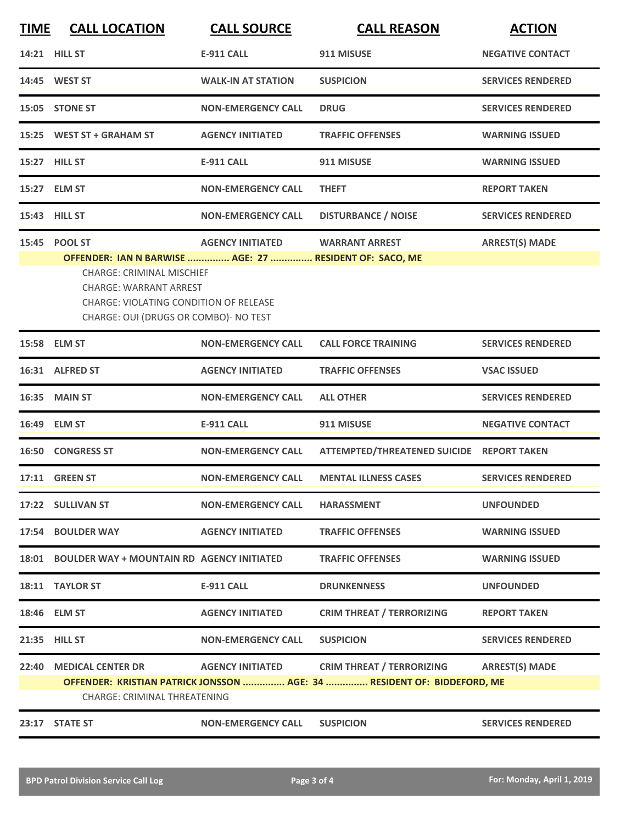| <b>TIME</b> | <b>CALL LOCATION</b>                                                                                                                                                                                                                    | <b>CALL SOURCE</b>        | <b>CALL REASON</b>                                                                                          | <b>ACTION</b>            |
|-------------|-----------------------------------------------------------------------------------------------------------------------------------------------------------------------------------------------------------------------------------------|---------------------------|-------------------------------------------------------------------------------------------------------------|--------------------------|
|             | 14:21 HILL ST                                                                                                                                                                                                                           | <b>E-911 CALL</b>         | 911 MISUSE                                                                                                  | <b>NEGATIVE CONTACT</b>  |
|             | 14:45 WEST ST                                                                                                                                                                                                                           | <b>WALK-IN AT STATION</b> | <b>SUSPICION</b>                                                                                            | <b>SERVICES RENDERED</b> |
|             | 15:05 STONE ST                                                                                                                                                                                                                          | <b>NON-EMERGENCY CALL</b> | <b>DRUG</b>                                                                                                 | <b>SERVICES RENDERED</b> |
|             | 15:25 WEST ST + GRAHAM ST                                                                                                                                                                                                               | <b>AGENCY INITIATED</b>   | <b>TRAFFIC OFFENSES</b>                                                                                     | <b>WARNING ISSUED</b>    |
|             | 15:27 HILL ST                                                                                                                                                                                                                           | <b>E-911 CALL</b>         | 911 MISUSE                                                                                                  | <b>WARNING ISSUED</b>    |
|             | 15:27 ELM ST                                                                                                                                                                                                                            | <b>NON-EMERGENCY CALL</b> | <b>THEFT</b>                                                                                                | <b>REPORT TAKEN</b>      |
|             | 15:43 HILL ST                                                                                                                                                                                                                           | <b>NON-EMERGENCY CALL</b> | <b>DISTURBANCE / NOISE</b>                                                                                  | <b>SERVICES RENDERED</b> |
|             | 15:45 POOL ST<br>OFFENDER: IAN N BARWISE  AGE: 27  RESIDENT OF: SACO, ME<br><b>CHARGE: CRIMINAL MISCHIEF</b><br><b>CHARGE: WARRANT ARREST</b><br><b>CHARGE: VIOLATING CONDITION OF RELEASE</b><br>CHARGE: OUI (DRUGS OR COMBO)- NO TEST | <b>AGENCY INITIATED</b>   | <b>WARRANT ARREST</b>                                                                                       | <b>ARREST(S) MADE</b>    |
|             | 15:58 ELM ST                                                                                                                                                                                                                            | <b>NON-EMERGENCY CALL</b> | <b>CALL FORCE TRAINING</b>                                                                                  | <b>SERVICES RENDERED</b> |
|             | 16:31 ALFRED ST                                                                                                                                                                                                                         | <b>AGENCY INITIATED</b>   | <b>TRAFFIC OFFENSES</b>                                                                                     | <b>VSAC ISSUED</b>       |
|             | <b>16:35 MAIN ST</b>                                                                                                                                                                                                                    | <b>NON-EMERGENCY CALL</b> | <b>ALL OTHER</b>                                                                                            | <b>SERVICES RENDERED</b> |
|             | 16:49 ELM ST                                                                                                                                                                                                                            | <b>E-911 CALL</b>         | 911 MISUSE                                                                                                  | <b>NEGATIVE CONTACT</b>  |
|             | <b>16:50 CONGRESS ST</b>                                                                                                                                                                                                                | <b>NON-EMERGENCY CALL</b> | <b>ATTEMPTED/THREATENED SUICIDE</b>                                                                         | <b>REPORT TAKEN</b>      |
|             | <b>17:11 GREEN ST</b>                                                                                                                                                                                                                   | <b>NON-EMERGENCY CALL</b> | <b>MENTAL ILLNESS CASES</b>                                                                                 | <b>SERVICES RENDERED</b> |
|             | 17:22 SULLIVAN ST                                                                                                                                                                                                                       | <b>NON-EMERGENCY CALL</b> | <b>HARASSMENT</b>                                                                                           | <b>UNFOUNDED</b>         |
|             | 17:54 BOULDER WAY                                                                                                                                                                                                                       | <b>AGENCY INITIATED</b>   | <b>TRAFFIC OFFENSES</b>                                                                                     | <b>WARNING ISSUED</b>    |
|             | 18:01 BOULDER WAY + MOUNTAIN RD AGENCY INITIATED                                                                                                                                                                                        |                           | <b>TRAFFIC OFFENSES</b>                                                                                     | <b>WARNING ISSUED</b>    |
|             | 18:11 TAYLOR ST                                                                                                                                                                                                                         | <b>E-911 CALL</b>         | <b>DRUNKENNESS</b>                                                                                          | <b>UNFOUNDED</b>         |
|             | 18:46 ELM ST                                                                                                                                                                                                                            | <b>AGENCY INITIATED</b>   | <b>CRIM THREAT / TERRORIZING</b>                                                                            | <b>REPORT TAKEN</b>      |
|             | 21:35 HILL ST                                                                                                                                                                                                                           | <b>NON-EMERGENCY CALL</b> | <b>SUSPICION</b>                                                                                            | <b>SERVICES RENDERED</b> |
| 22:40       | <b>MEDICAL CENTER DR</b><br><b>CHARGE: CRIMINAL THREATENING</b>                                                                                                                                                                         | <b>AGENCY INITIATED</b>   | <b>CRIM THREAT / TERRORIZING</b><br>OFFENDER: KRISTIAN PATRICK JONSSON  AGE: 34  RESIDENT OF: BIDDEFORD, ME | <b>ARREST(S) MADE</b>    |
|             | 23:17 STATE ST                                                                                                                                                                                                                          | <b>NON-EMERGENCY CALL</b> | <b>SUSPICION</b>                                                                                            | <b>SERVICES RENDERED</b> |